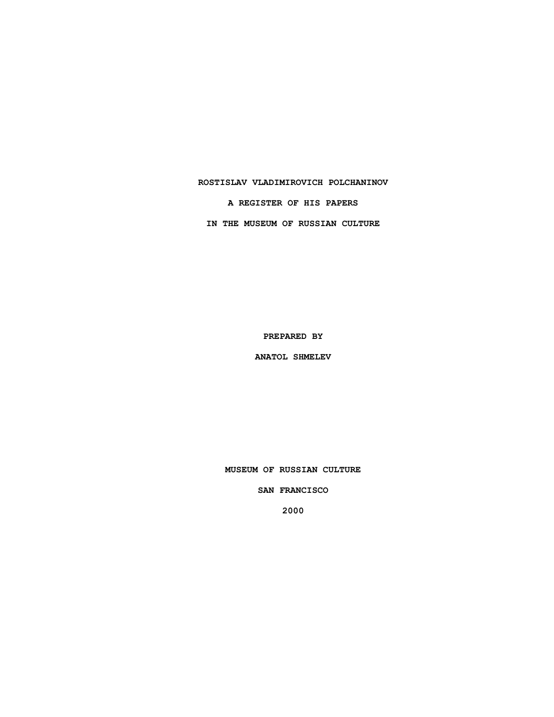### **ROSTISLAV VLADIMIROVICH POLCHANINOV**

**A REGISTER OF HIS PAPERS**

**IN THE MUSEUM OF RUSSIAN CULTURE**

**PREPARED BY**

**ANATOL SHMELEV**

**MUSEUM OF RUSSIAN CULTURE**

**SAN FRANCISCO**

**2000**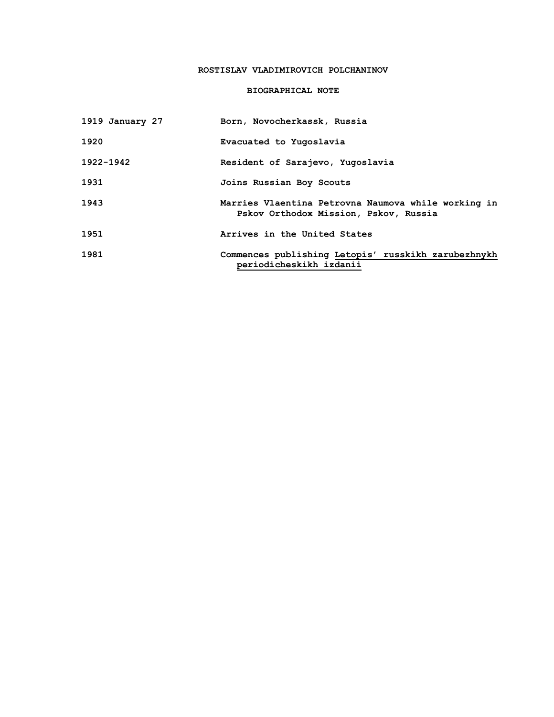# **ROSTISLAV VLADIMIROVICH POLCHANINOV**

## **BIOGRAPHICAL NOTE**

| 1919 January 27 | Born, Novocherkassk, Russia                                                                  |
|-----------------|----------------------------------------------------------------------------------------------|
| 1920            | Evacuated to Yugoslavia                                                                      |
| 1922-1942       | Resident of Sarajevo, Yugoslavia                                                             |
| 1931            | Joins Russian Boy Scouts                                                                     |
| 1943            | Marries Vlaentina Petrovna Naumova while working in<br>Pskov Orthodox Mission, Pskov, Russia |
| 1951            | Arrives in the United States                                                                 |
| 1981            | Commences publishing Letopis' russkikh zarubezhnykh<br>periodicheskikh izdanii               |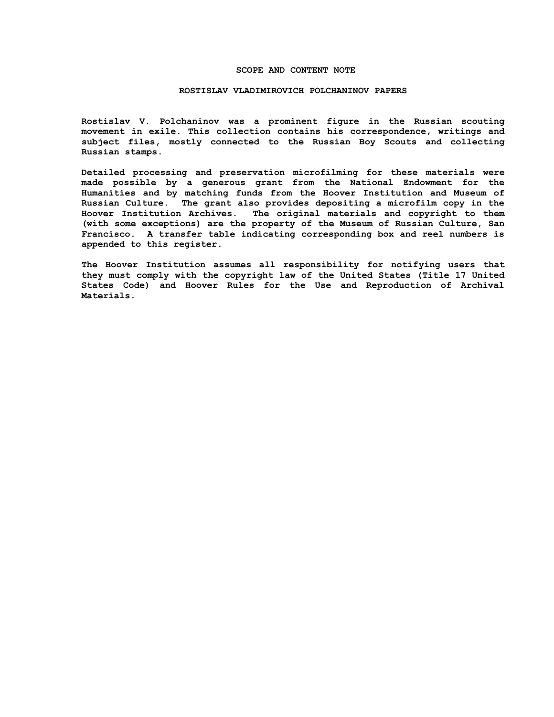### **SCOPE AND CONTENT NOTE**

#### **ROSTISLAV VLADIMIROVICH POLCHANINOV PAPERS**

**Rostislav V. Polchaninov was a prominent figure in the Russian scouting movement in exile. This collection contains his correspondence, writings and subject files, mostly connected to the Russian Boy Scouts and collecting Russian stamps.**

**Detailed processing and preservation microfilming for these materials were made possible by a generous grant from the National Endowment for the Humanities and by matching funds from the Hoover Institution and Museum of Russian Culture. The grant also provides depositing a microfilm copy in the Hoover Institution Archives. The original materials and copyright to them (with some exceptions) are the property of the Museum of Russian Culture, San Francisco. A transfer table indicating corresponding box and reel numbers is appended to this register.**

**The Hoover Institution assumes all responsibility for notifying users that they must comply with the copyright law of the United States (Title 17 United States Code) and Hoover Rules for the Use and Reproduction of Archival Materials.**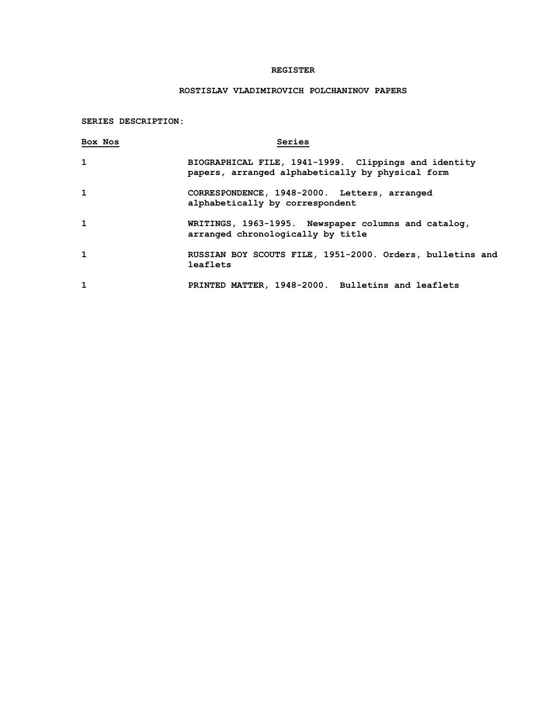### **REGISTER**

# **ROSTISLAV VLADIMIROVICH POLCHANINOV PAPERS**

### **SERIES DESCRIPTION:**

| Box Nos      | Series                                                                                                   |
|--------------|----------------------------------------------------------------------------------------------------------|
| 1            | BIOGRAPHICAL FILE, 1941-1999. Clippings and identity<br>papers, arranged alphabetically by physical form |
| $\mathbf{1}$ | CORRESPONDENCE, 1948-2000. Letters, arranged<br>alphabetically by correspondent                          |
| 1            | WRITINGS, 1963-1995. Newspaper columns and catalog,<br>arranged chronologically by title                 |
| 1            | RUSSIAN BOY SCOUTS FILE, 1951-2000. Orders, bulletins and<br>leaflets                                    |
| 1            | PRINTED MATTER, 1948-2000. Bulletins and leaflets                                                        |